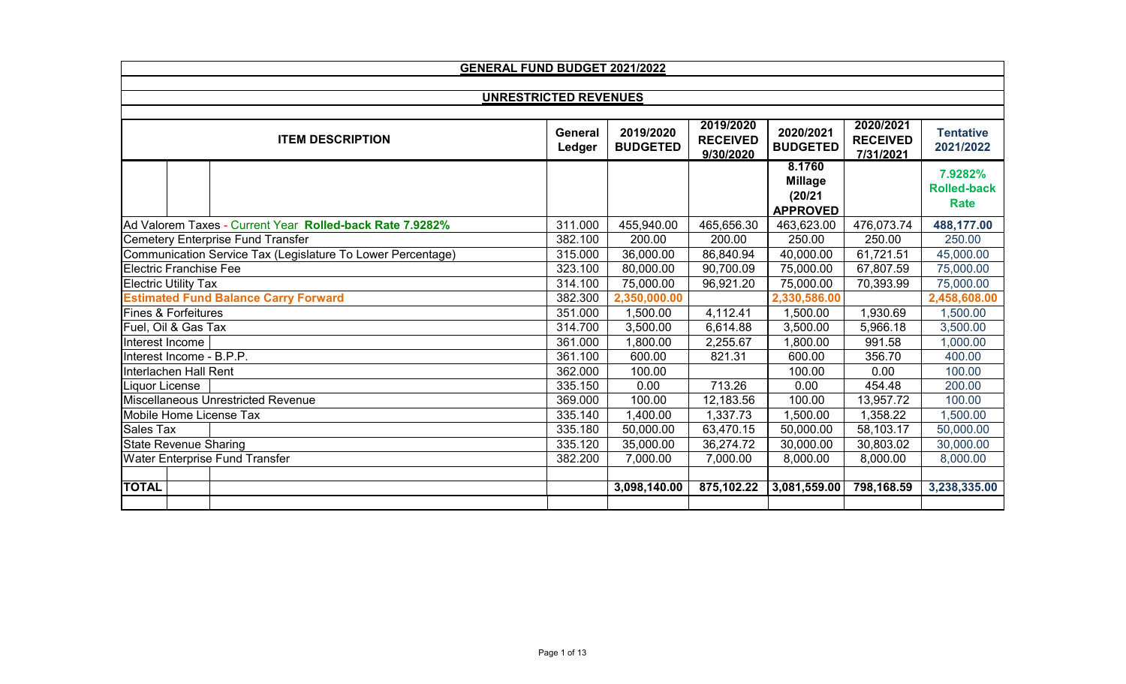|                                                             | GENERAL FUND BUDGET 2021/2022 |                              |                                           |                                                        |                                           |                                              |  |  |  |
|-------------------------------------------------------------|-------------------------------|------------------------------|-------------------------------------------|--------------------------------------------------------|-------------------------------------------|----------------------------------------------|--|--|--|
|                                                             |                               |                              |                                           |                                                        |                                           |                                              |  |  |  |
| <b>UNRESTRICTED REVENUES</b>                                |                               |                              |                                           |                                                        |                                           |                                              |  |  |  |
| <b>ITEM DESCRIPTION</b>                                     | General<br>Ledger             | 2019/2020<br><b>BUDGETED</b> | 2019/2020<br><b>RECEIVED</b><br>9/30/2020 | 2020/2021<br><b>BUDGETED</b>                           | 2020/2021<br><b>RECEIVED</b><br>7/31/2021 | <b>Tentative</b><br>2021/2022                |  |  |  |
|                                                             |                               |                              |                                           | 8.1760<br><b>Millage</b><br>(20/21)<br><b>APPROVED</b> |                                           | 7.9282%<br><b>Rolled-back</b><br><b>Rate</b> |  |  |  |
| Ad Valorem Taxes - Current Year Rolled-back Rate 7.9282%    | 311.000                       | 455,940.00                   | 465,656.30                                | 463,623.00                                             | 476,073.74                                | 488,177.00                                   |  |  |  |
| Cemetery Enterprise Fund Transfer                           | 382.100                       | 200.00                       | 200.00                                    | 250.00                                                 | 250.00                                    | 250.00                                       |  |  |  |
| Communication Service Tax (Legislature To Lower Percentage) | 315.000                       | 36,000.00                    | 86,840.94                                 | 40,000.00                                              | 61,721.51                                 | 45,000.00                                    |  |  |  |
| <b>Electric Franchise Fee</b>                               | 323.100                       | 80,000.00                    | 90,700.09                                 | 75,000.00                                              | 67,807.59                                 | 75,000.00                                    |  |  |  |
| <b>Electric Utility Tax</b>                                 | 314.100                       | 75,000.00                    | 96,921.20                                 | 75,000.00                                              | 70,393.99                                 | 75,000.00                                    |  |  |  |
| <b>Estimated Fund Balance Carry Forward</b>                 | 382.300                       | 2,350,000.00                 |                                           | 2,330,586.00                                           |                                           | 2,458,608.00                                 |  |  |  |
| <b>Fines &amp; Forfeitures</b>                              | 351.000                       | 1,500.00                     | 4,112.41                                  | 1,500.00                                               | 1,930.69                                  | 1,500.00                                     |  |  |  |
| Fuel, Oil & Gas Tax                                         | 314.700                       | 3,500.00                     | 6,614.88                                  | 3,500.00                                               | 5,966.18                                  | 3,500.00                                     |  |  |  |
| Interest Income                                             | 361.000                       | 1,800.00                     | 2,255.67                                  | 1,800.00                                               | 991.58                                    | 1,000.00                                     |  |  |  |
| Interest Income - B.P.P.                                    | 361.100                       | 600.00                       | 821.31                                    | 600.00                                                 | 356.70                                    | 400.00                                       |  |  |  |
| Interlachen Hall Rent                                       | 362.000                       | 100.00                       |                                           | 100.00                                                 | 0.00                                      | 100.00                                       |  |  |  |
| Liquor License                                              | 335.150                       | 0.00                         | 713.26                                    | 0.00                                                   | 454.48                                    | 200.00                                       |  |  |  |
| Miscellaneous Unrestricted Revenue                          | 369.000                       | 100.00                       | 12,183.56                                 | 100.00                                                 | 13,957.72                                 | 100.00                                       |  |  |  |
| Mobile Home License Tax                                     | 335.140                       | 1,400.00                     | 1,337.73                                  | 1,500.00                                               | 1,358.22                                  | 1,500.00                                     |  |  |  |
| <b>Sales Tax</b>                                            | 335.180                       | 50,000.00                    | 63,470.15                                 | 50,000.00                                              | 58,103.17                                 | 50,000.00                                    |  |  |  |
| <b>State Revenue Sharing</b>                                | 335.120                       | 35,000.00                    | 36,274.72                                 | 30,000.00                                              | 30,803.02                                 | 30,000.00                                    |  |  |  |
| <b>Water Enterprise Fund Transfer</b>                       | 382.200                       | 7,000.00                     | 7,000.00                                  | 8,000.00                                               | 8,000.00                                  | 8,000.00                                     |  |  |  |
|                                                             |                               |                              |                                           |                                                        |                                           |                                              |  |  |  |
| <b>TOTAL</b>                                                |                               | 3,098,140.00                 | 875,102.22                                | 3,081,559.00                                           | 798,168.59                                | 3,238,335.00                                 |  |  |  |
|                                                             |                               |                              |                                           |                                                        |                                           |                                              |  |  |  |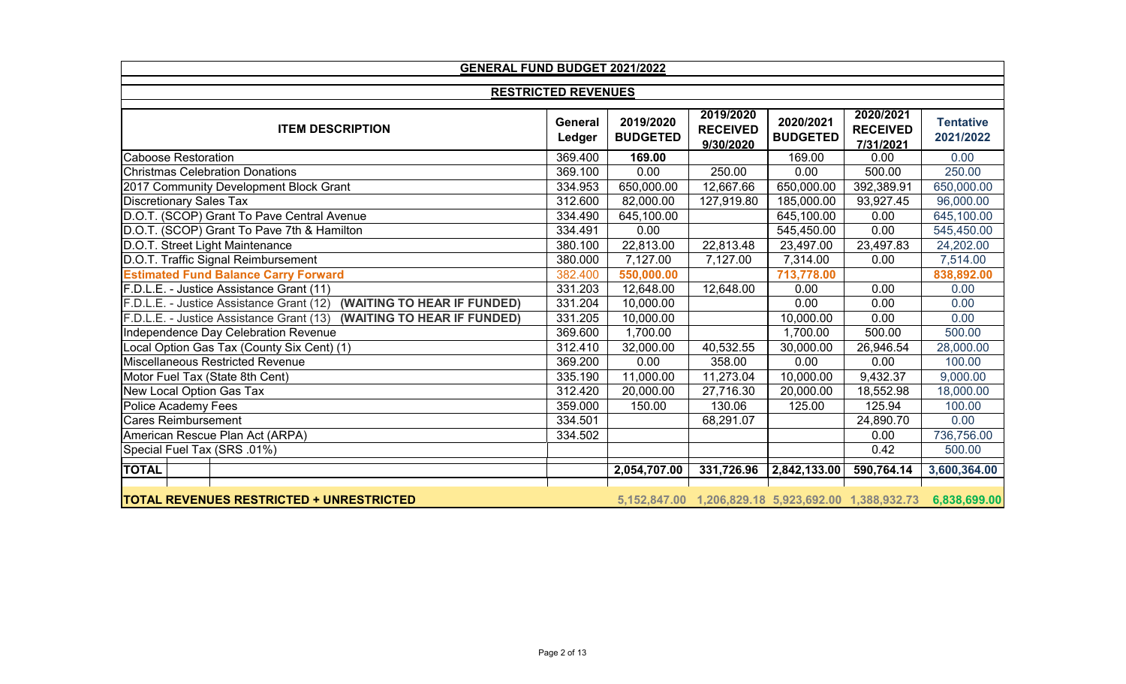| <b>GENERAL FUND BUDGET 2021/2022</b>                                    |                            |                              |                                                        |                              |                                           |                               |  |  |
|-------------------------------------------------------------------------|----------------------------|------------------------------|--------------------------------------------------------|------------------------------|-------------------------------------------|-------------------------------|--|--|
|                                                                         | <b>RESTRICTED REVENUES</b> |                              |                                                        |                              |                                           |                               |  |  |
|                                                                         |                            |                              |                                                        |                              |                                           |                               |  |  |
| <b>ITEM DESCRIPTION</b>                                                 | General<br>Ledger          | 2019/2020<br><b>BUDGETED</b> | 2019/2020<br><b>RECEIVED</b><br>9/30/2020              | 2020/2021<br><b>BUDGETED</b> | 2020/2021<br><b>RECEIVED</b><br>7/31/2021 | <b>Tentative</b><br>2021/2022 |  |  |
| <b>Caboose Restoration</b>                                              | 369.400                    | 169.00                       |                                                        | 169.00                       | 0.00                                      | 0.00                          |  |  |
| <b>Christmas Celebration Donations</b>                                  | 369.100                    | 0.00                         | 250.00                                                 | 0.00                         | 500.00                                    | 250.00                        |  |  |
| 2017 Community Development Block Grant                                  | 334.953                    | 650,000.00                   | 12,667.66                                              | 650,000.00                   | 392,389.91                                | 650,000.00                    |  |  |
| <b>Discretionary Sales Tax</b>                                          | 312.600                    | 82,000.00                    | 127,919.80                                             | 185,000.00                   | 93,927.45                                 | 96,000.00                     |  |  |
| D.O.T. (SCOP) Grant To Pave Central Avenue                              | 334.490                    | 645,100.00                   |                                                        | 645,100.00                   | 0.00                                      | 645,100.00                    |  |  |
| D.O.T. (SCOP) Grant To Pave 7th & Hamilton                              | 334.491                    | 0.00                         |                                                        | 545,450.00                   | 0.00                                      | 545,450.00                    |  |  |
| D.O.T. Street Light Maintenance                                         | 380.100                    | 22,813.00                    | 22,813.48                                              | 23,497.00                    | 23,497.83                                 | 24,202.00                     |  |  |
| D.O.T. Traffic Signal Reimbursement                                     | 380.000                    | 7,127.00                     | 7,127.00                                               | 7,314.00                     | 0.00                                      | 7,514.00                      |  |  |
| <b>Estimated Fund Balance Carry Forward</b>                             | 382.400                    | 550,000.00                   |                                                        | 713,778.00                   |                                           | 838,892.00                    |  |  |
| F.D.L.E. - Justice Assistance Grant (11)                                | 331.203                    | 12,648.00                    | 12,648.00                                              | 0.00                         | 0.00                                      | 0.00                          |  |  |
| (WAITING TO HEAR IF FUNDED)<br>F.D.L.E. - Justice Assistance Grant (12) | 331.204                    | 10,000.00                    |                                                        | 0.00                         | 0.00                                      | 0.00                          |  |  |
| F.D.L.E. - Justice Assistance Grant (13)<br>(WAITING TO HEAR IF FUNDED) | 331.205                    | 10,000.00                    |                                                        | 10,000.00                    | 0.00                                      | 0.00                          |  |  |
| Independence Day Celebration Revenue                                    | 369.600                    | 1,700.00                     |                                                        | 1,700.00                     | 500.00                                    | 500.00                        |  |  |
| Local Option Gas Tax (County Six Cent) (1)                              | 312.410                    | 32,000.00                    | 40,532.55                                              | 30,000.00                    | 26,946.54                                 | 28,000.00                     |  |  |
| <b>Miscellaneous Restricted Revenue</b>                                 | 369.200                    | 0.00                         | 358.00                                                 | 0.00                         | 0.00                                      | 100.00                        |  |  |
| Motor Fuel Tax (State 8th Cent)                                         | 335.190                    | 11,000.00                    | 11,273.04                                              | 10,000.00                    | 9,432.37                                  | 9,000.00                      |  |  |
| New Local Option Gas Tax                                                | 312.420                    | 20,000.00                    | 27,716.30                                              | 20,000.00                    | 18,552.98                                 | 18,000.00                     |  |  |
| Police Academy Fees                                                     | 359.000                    | 150.00                       | 130.06                                                 | 125.00                       | 125.94                                    | 100.00                        |  |  |
| <b>Cares Reimbursement</b>                                              | 334.501                    |                              | 68,291.07                                              |                              | 24,890.70                                 | 0.00                          |  |  |
| American Rescue Plan Act (ARPA)                                         | 334.502                    |                              |                                                        |                              | 0.00                                      | 736,756.00                    |  |  |
| Special Fuel Tax (SRS .01%)                                             |                            |                              |                                                        |                              | 0.42                                      | 500.00                        |  |  |
| <b>TOTAL</b>                                                            |                            | 2,054,707.00                 | 331,726.96                                             | 2,842,133.00                 | 590,764.14                                | 3,600,364.00                  |  |  |
| <b>TOTAL REVENUES RESTRICTED + UNRESTRICTED</b>                         |                            |                              | 5,152,847.00  1,206,829.18  5,923,692.00  1,388,932.73 |                              |                                           | 6,838,699.00                  |  |  |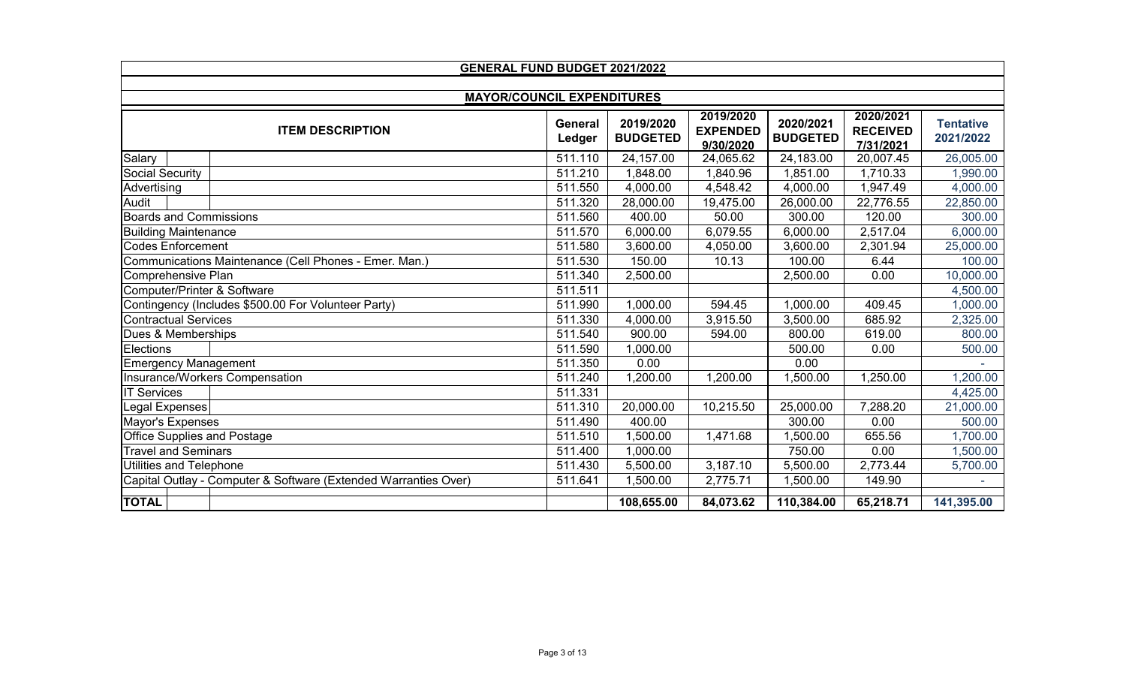| GENERAL FUND BUDGET 2021/2022                                   |                   |                              |                                           |                              |                                           |                               |  |  |
|-----------------------------------------------------------------|-------------------|------------------------------|-------------------------------------------|------------------------------|-------------------------------------------|-------------------------------|--|--|
|                                                                 |                   |                              |                                           |                              |                                           |                               |  |  |
| <b>MAYOR/COUNCIL EXPENDITURES</b><br><b>ITEM DESCRIPTION</b>    | General<br>Ledger | 2019/2020<br><b>BUDGETED</b> | 2019/2020<br><b>EXPENDED</b><br>9/30/2020 | 2020/2021<br><b>BUDGETED</b> | 2020/2021<br><b>RECEIVED</b><br>7/31/2021 | <b>Tentative</b><br>2021/2022 |  |  |
| Salary                                                          | 511.110           | 24,157.00                    | 24,065.62                                 | 24,183.00                    | 20,007.45                                 | 26,005.00                     |  |  |
| <b>Social Security</b>                                          | 511.210           | 1,848.00                     | 1,840.96                                  | 1,851.00                     | 1,710.33                                  | 1,990.00                      |  |  |
| Advertising                                                     | 511.550           | 4,000.00                     | 4,548.42                                  | 4,000.00                     | 1,947.49                                  | 4,000.00                      |  |  |
| Audit                                                           | 511.320           | 28,000.00                    | 19,475.00                                 | 26,000.00                    | 22,776.55                                 | 22,850.00                     |  |  |
| <b>Boards and Commissions</b>                                   | 511.560           | 400.00                       | 50.00                                     | 300.00                       | 120.00                                    | 300.00                        |  |  |
| <b>Building Maintenance</b>                                     | 511.570           | 6,000.00                     | 6,079.55                                  | 6,000.00                     | 2,517.04                                  | 6,000.00                      |  |  |
| <b>Codes Enforcement</b>                                        | 511.580           | 3,600.00                     | 4,050.00                                  | 3,600.00                     | 2,301.94                                  | 25,000.00                     |  |  |
| Communications Maintenance (Cell Phones - Emer. Man.)           | 511.530           | 150.00                       | 10.13                                     | 100.00                       | 6.44                                      | 100.00                        |  |  |
| Comprehensive Plan                                              | 511.340           | 2,500.00                     |                                           | 2,500.00                     | 0.00                                      | 10,000.00                     |  |  |
| Computer/Printer & Software                                     | 511.511           |                              |                                           |                              |                                           | 4,500.00                      |  |  |
| Contingency (Includes \$500.00 For Volunteer Party)             | 511.990           | 1,000.00                     | 594.45                                    | 1,000.00                     | 409.45                                    | 1,000.00                      |  |  |
| <b>Contractual Services</b>                                     | 511.330           | 4,000.00                     | 3,915.50                                  | 3,500.00                     | 685.92                                    | 2,325.00                      |  |  |
| Dues & Memberships                                              | 511.540           | 900.00                       | 594.00                                    | 800.00                       | 619.00                                    | 800.00                        |  |  |
| Elections                                                       | 511.590           | 1,000.00                     |                                           | 500.00                       | 0.00                                      | 500.00                        |  |  |
| <b>Emergency Management</b>                                     | 511.350           | 0.00                         |                                           | 0.00                         |                                           |                               |  |  |
| Insurance/Workers Compensation                                  | 511.240           | 1,200.00                     | 1,200.00                                  | ,500.00                      | 1,250.00                                  | 1,200.00                      |  |  |
| <b>IT Services</b>                                              | 511.331           |                              |                                           |                              |                                           | 4,425.00                      |  |  |
| Legal Expenses                                                  | 511.310           | 20,000.00                    | 10,215.50                                 | 25,000.00                    | 7,288.20                                  | 21,000.00                     |  |  |
| Mayor's Expenses                                                | 511.490           | 400.00                       |                                           | 300.00                       | 0.00                                      | 500.00                        |  |  |
| <b>Office Supplies and Postage</b>                              | 511.510           | 1,500.00                     | 1,471.68                                  | 1,500.00                     | 655.56                                    | 1,700.00                      |  |  |
| <b>Travel and Seminars</b>                                      | 511.400           | 1,000.00                     |                                           | 750.00                       | 0.00                                      | 1,500.00                      |  |  |
| Utilities and Telephone                                         | 511.430           | 5,500.00                     | 3,187.10                                  | 5,500.00                     | 2,773.44                                  | 5,700.00                      |  |  |
| Capital Outlay - Computer & Software (Extended Warranties Over) | 511.641           | 1,500.00                     | 2,775.71                                  | 1,500.00                     | 149.90                                    |                               |  |  |
| <b>TOTAL</b>                                                    |                   | 108,655.00                   | 84,073.62                                 | 110,384.00                   | 65,218.71                                 | 141,395.00                    |  |  |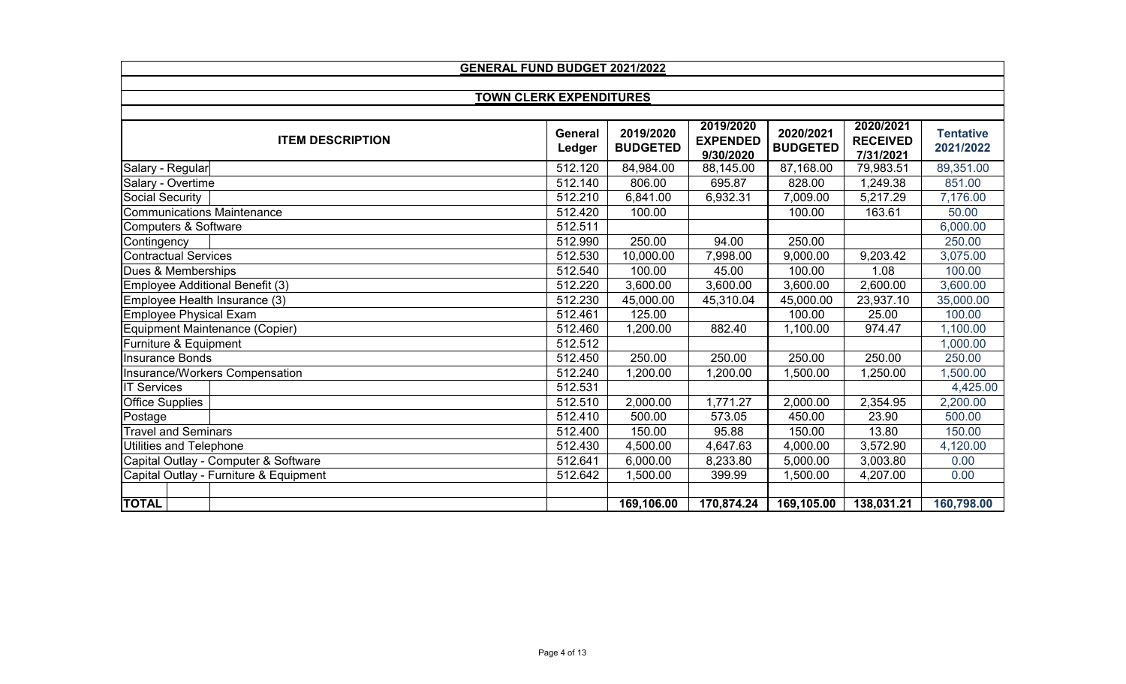| <b>GENERAL FUND BUDGET 2021/2022</b>   |                   |                              |                                           |                              |                                           |                               |  |  |
|----------------------------------------|-------------------|------------------------------|-------------------------------------------|------------------------------|-------------------------------------------|-------------------------------|--|--|
|                                        |                   |                              |                                           |                              |                                           |                               |  |  |
| <b>TOWN CLERK EXPENDITURES</b>         |                   |                              |                                           |                              |                                           |                               |  |  |
| <b>ITEM DESCRIPTION</b>                | General<br>Ledger | 2019/2020<br><b>BUDGETED</b> | 2019/2020<br><b>EXPENDED</b><br>9/30/2020 | 2020/2021<br><b>BUDGETED</b> | 2020/2021<br><b>RECEIVED</b><br>7/31/2021 | <b>Tentative</b><br>2021/2022 |  |  |
| Salary - Regular                       | 512.120           | 84,984.00                    | 88,145.00                                 | 87,168.00                    | 79,983.51                                 | 89,351.00                     |  |  |
| Salary - Overtime                      | 512.140           | 806.00                       | 695.87                                    | 828.00                       | 1,249.38                                  | 851.00                        |  |  |
| Social Security                        | 512.210           | 6,841.00                     | 6,932.31                                  | 7,009.00                     | 5,217.29                                  | 7,176.00                      |  |  |
| <b>Communications Maintenance</b>      | 512.420           | 100.00                       |                                           | 100.00                       | 163.61                                    | 50.00                         |  |  |
| Computers & Software                   | 512.511           |                              |                                           |                              |                                           | 6,000.00                      |  |  |
| Contingency                            | 512.990           | 250.00                       | 94.00                                     | 250.00                       |                                           | 250.00                        |  |  |
| <b>Contractual Services</b>            | 512.530           | 10,000.00                    | 7,998.00                                  | 9,000.00                     | 9,203.42                                  | 3,075.00                      |  |  |
| Dues & Memberships                     | 512.540           | 100.00                       | 45.00                                     | 100.00                       | 1.08                                      | 100.00                        |  |  |
| Employee Additional Benefit (3)        | 512.220           | 3,600.00                     | 3,600.00                                  | 3,600.00                     | 2,600.00                                  | 3,600.00                      |  |  |
| Employee Health Insurance (3)          | 512.230           | 45,000.00                    | 45,310.04                                 | 45,000.00                    | 23,937.10                                 | 35,000.00                     |  |  |
| <b>Employee Physical Exam</b>          | 512.461           | 125.00                       |                                           | 100.00                       | 25.00                                     | 100.00                        |  |  |
| Equipment Maintenance (Copier)         | 512.460           | 1,200.00                     | 882.40                                    | 1,100.00                     | 974.47                                    | 1,100.00                      |  |  |
| Furniture & Equipment                  | 512.512           |                              |                                           |                              |                                           | 1,000.00                      |  |  |
| <b>Insurance Bonds</b>                 | 512.450           | 250.00                       | 250.00                                    | 250.00                       | 250.00                                    | 250.00                        |  |  |
| Insurance/Workers Compensation         | 512.240           | 1,200.00                     | 1,200.00                                  | 1,500.00                     | 1,250.00                                  | 1,500.00                      |  |  |
| <b>IT Services</b>                     | 512.531           |                              |                                           |                              |                                           | 4,425.00                      |  |  |
| <b>Office Supplies</b>                 | 512.510           | 2,000.00                     | 1,771.27                                  | 2,000.00                     | 2,354.95                                  | 2,200.00                      |  |  |
| Postage                                | 512.410           | 500.00                       | 573.05                                    | 450.00                       | 23.90                                     | 500.00                        |  |  |
| <b>Travel and Seminars</b>             | 512.400           | 150.00                       | 95.88                                     | 150.00                       | 13.80                                     | 150.00                        |  |  |
| Utilities and Telephone                | 512.430           | 4,500.00                     | 4,647.63                                  | 4,000.00                     | 3,572.90                                  | 4,120.00                      |  |  |
| Capital Outlay - Computer & Software   | 512.641           | 6,000.00                     | 8,233.80                                  | 5,000.00                     | 3,003.80                                  | 0.00                          |  |  |
| Capital Outlay - Furniture & Equipment | 512.642           | 1,500.00                     | 399.99                                    | 1,500.00                     | 4,207.00                                  | 0.00                          |  |  |
|                                        |                   |                              |                                           |                              |                                           |                               |  |  |
| <b>TOTAL</b>                           |                   | 169,106.00                   | 170,874.24                                | 169,105.00                   | 138,031.21                                | 160,798.00                    |  |  |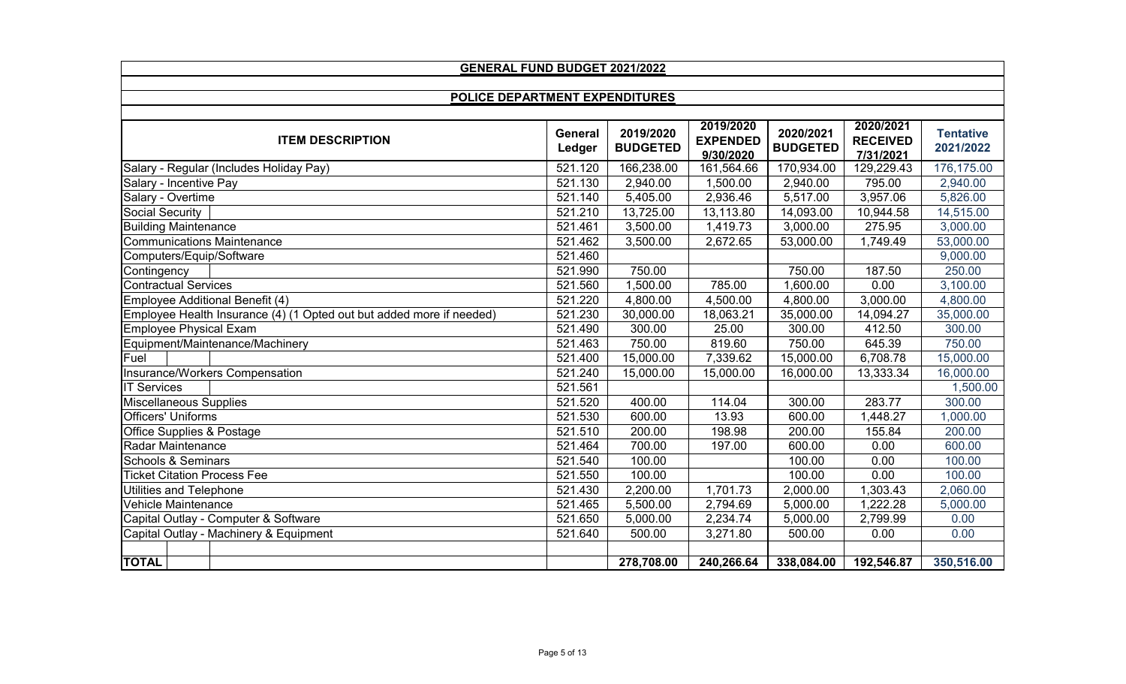| <b>GENERAL FUND BUDGET 2021/2022</b>                                 |                   |                              |                                           |                              |                                           |                               |  |  |
|----------------------------------------------------------------------|-------------------|------------------------------|-------------------------------------------|------------------------------|-------------------------------------------|-------------------------------|--|--|
|                                                                      |                   |                              |                                           |                              |                                           |                               |  |  |
| POLICE DEPARTMENT EXPENDITURES                                       |                   |                              |                                           |                              |                                           |                               |  |  |
| <b>ITEM DESCRIPTION</b>                                              | General<br>Ledger | 2019/2020<br><b>BUDGETED</b> | 2019/2020<br><b>EXPENDED</b><br>9/30/2020 | 2020/2021<br><b>BUDGETED</b> | 2020/2021<br><b>RECEIVED</b><br>7/31/2021 | <b>Tentative</b><br>2021/2022 |  |  |
| Salary - Regular (Includes Holiday Pay)                              | 521.120           | 166,238.00                   | 161,564.66                                | 170,934.00                   | 129,229.43                                | 176,175.00                    |  |  |
| Salary - Incentive Pay                                               | 521.130           | 2,940.00                     | 1,500.00                                  | 2,940.00                     | 795.00                                    | 2,940.00                      |  |  |
| Salary - Overtime                                                    | 521.140           | 5,405.00                     | 2,936.46                                  | 5,517.00                     | 3,957.06                                  | 5,826.00                      |  |  |
| <b>Social Security</b>                                               | 521.210           | 13,725.00                    | 13,113.80                                 | 14,093.00                    | 10,944.58                                 | 14,515.00                     |  |  |
| <b>Building Maintenance</b>                                          | 521.461           | 3,500.00                     | 1,419.73                                  | 3,000.00                     | 275.95                                    | 3,000.00                      |  |  |
| <b>Communications Maintenance</b>                                    | 521.462           | 3,500.00                     | 2,672.65                                  | 53,000.00                    | 1,749.49                                  | 53,000.00                     |  |  |
| Computers/Equip/Software                                             | 521.460           |                              |                                           |                              |                                           | 9,000.00                      |  |  |
| Contingency                                                          | 521.990           | 750.00                       |                                           | 750.00                       | 187.50                                    | 250.00                        |  |  |
| <b>Contractual Services</b>                                          | 521.560           | 1,500.00                     | 785.00                                    | 1,600.00                     | 0.00                                      | 3,100.00                      |  |  |
| Employee Additional Benefit (4)                                      | 521.220           | 4,800.00                     | 4,500.00                                  | 4,800.00                     | 3,000.00                                  | 4,800.00                      |  |  |
| Employee Health Insurance (4) (1 Opted out but added more if needed) | 521.230           | 30,000.00                    | 18,063.21                                 | 35,000.00                    | 14,094.27                                 | 35,000.00                     |  |  |
| Employee Physical Exam                                               | 521.490           | 300.00                       | 25.00                                     | 300.00                       | 412.50                                    | 300.00                        |  |  |
| Equipment/Maintenance/Machinery                                      | 521.463           | 750.00                       | 819.60                                    | 750.00                       | 645.39                                    | 750.00                        |  |  |
| Fuel                                                                 | 521.400           | 15,000.00                    | 7,339.62                                  | 15,000.00                    | 6,708.78                                  | 15,000.00                     |  |  |
| Insurance/Workers Compensation                                       | 521.240           | 15,000.00                    | 15,000.00                                 | 16,000.00                    | 13,333.34                                 | 16,000.00                     |  |  |
| <b>IT Services</b>                                                   | 521.561           |                              |                                           |                              |                                           | 1,500.00                      |  |  |
| <b>Miscellaneous Supplies</b>                                        | 521.520           | 400.00                       | 114.04                                    | 300.00                       | 283.77                                    | 300.00                        |  |  |
| <b>Officers' Uniforms</b>                                            | 521.530           | 600.00                       | 13.93                                     | 600.00                       | 1,448.27                                  | 1,000.00                      |  |  |
| Office Supplies & Postage                                            | 521.510           | 200.00                       | 198.98                                    | 200.00                       | 155.84                                    | 200.00                        |  |  |
| Radar Maintenance                                                    | 521.464           | 700.00                       | 197.00                                    | 600.00                       | 0.00                                      | 600.00                        |  |  |
| <b>Schools &amp; Seminars</b>                                        | 521.540           | 100.00                       |                                           | 100.00                       | 0.00                                      | 100.00                        |  |  |
| <b>Ticket Citation Process Fee</b>                                   | 521.550           | 100.00                       |                                           | 100.00                       | 0.00                                      | 100.00                        |  |  |
| Utilities and Telephone                                              | 521.430           | 2,200.00                     | 1,701.73                                  | 2,000.00                     | 1,303.43                                  | 2,060.00                      |  |  |
| Vehicle Maintenance                                                  | 521.465           | 5,500.00                     | 2,794.69                                  | 5,000.00                     | 1,222.28                                  | 5,000.00                      |  |  |
| Capital Outlay - Computer & Software                                 | 521.650           | 5,000.00                     | 2,234.74                                  | 5,000.00                     | 2,799.99                                  | 0.00                          |  |  |
| Capital Outlay - Machinery & Equipment                               | 521.640           | 500.00                       | 3,271.80                                  | 500.00                       | 0.00                                      | 0.00                          |  |  |
|                                                                      |                   |                              |                                           |                              |                                           |                               |  |  |
| <b>TOTAL</b>                                                         |                   | 278,708.00                   | 240,266.64                                | 338,084.00                   | 192,546.87                                | 350,516.00                    |  |  |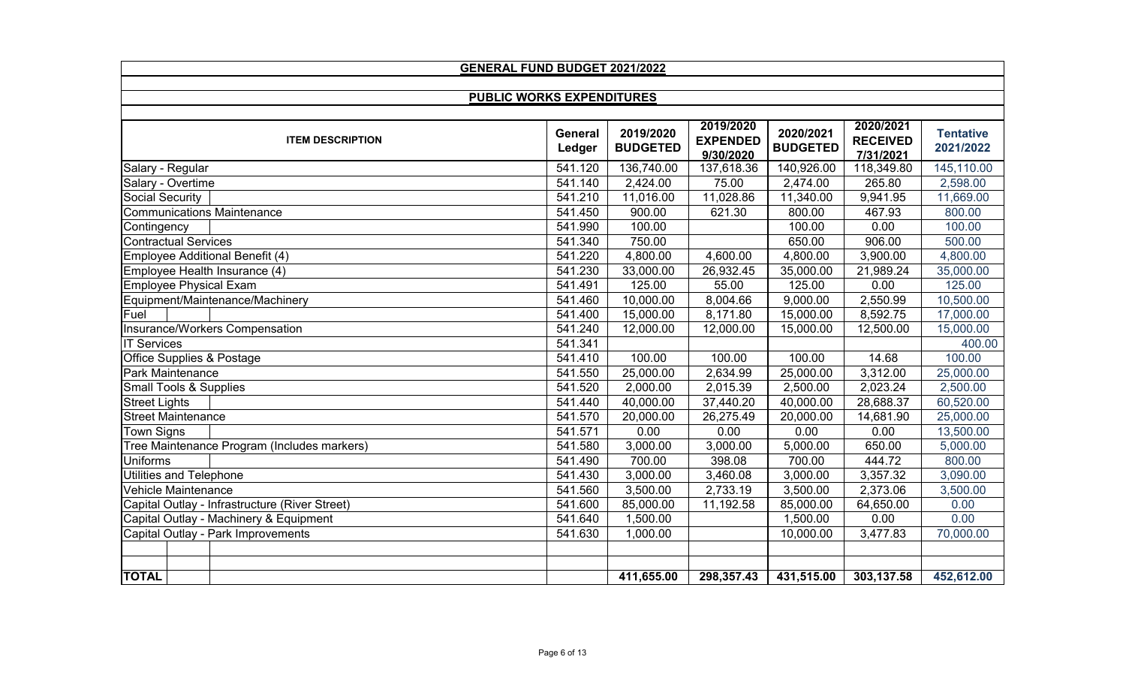| <b>GENERAL FUND BUDGET 2021/2022</b>           |                   |                              |                                           |                              |                                           |                               |  |  |
|------------------------------------------------|-------------------|------------------------------|-------------------------------------------|------------------------------|-------------------------------------------|-------------------------------|--|--|
|                                                |                   |                              |                                           |                              |                                           |                               |  |  |
| <b>PUBLIC WORKS EXPENDITURES</b>               |                   |                              |                                           |                              |                                           |                               |  |  |
| <b>ITEM DESCRIPTION</b>                        | General<br>Ledger | 2019/2020<br><b>BUDGETED</b> | 2019/2020<br><b>EXPENDED</b><br>9/30/2020 | 2020/2021<br><b>BUDGETED</b> | 2020/2021<br><b>RECEIVED</b><br>7/31/2021 | <b>Tentative</b><br>2021/2022 |  |  |
| Salary - Regular                               | 541.120           | 136,740.00                   | 137,618.36                                | 140,926.00                   | 118,349.80                                | 145,110.00                    |  |  |
| Salary - Overtime                              | 541.140           | 2,424.00                     | 75.00                                     | 2,474.00                     | 265.80                                    | 2,598.00                      |  |  |
| Social Security                                | 541.210           | 11,016.00                    | 11,028.86                                 | 11,340.00                    | 9,941.95                                  | 11,669.00                     |  |  |
| <b>Communications Maintenance</b>              | 541.450           | 900.00                       | 621.30                                    | 800.00                       | 467.93                                    | 800.00                        |  |  |
| Contingency                                    | 541.990           | 100.00                       |                                           | 100.00                       | 0.00                                      | 100.00                        |  |  |
| <b>Contractual Services</b>                    | 541.340           | 750.00                       |                                           | 650.00                       | 906.00                                    | 500.00                        |  |  |
| Employee Additional Benefit (4)                | 541.220           | 4,800.00                     | 4,600.00                                  | 4,800.00                     | 3,900.00                                  | 4,800.00                      |  |  |
| Employee Health Insurance (4)                  | 541.230           | 33,000.00                    | 26,932.45                                 | 35,000.00                    | 21,989.24                                 | 35,000.00                     |  |  |
| <b>Employee Physical Exam</b>                  | 541.491           | 125.00                       | 55.00                                     | 125.00                       | 0.00                                      | 125.00                        |  |  |
| Equipment/Maintenance/Machinery                | 541.460           | 10,000.00                    | 8,004.66                                  | 9,000.00                     | 2,550.99                                  | 10,500.00                     |  |  |
| Fuel                                           | 541.400           | 15,000.00                    | 8,171.80                                  | 15,000.00                    | 8,592.75                                  | 17,000.00                     |  |  |
| Insurance/Workers Compensation                 | 541.240           | 12,000.00                    | 12,000.00                                 | 15,000.00                    | 12,500.00                                 | 15,000.00                     |  |  |
| <b>IT Services</b>                             | 541.341           |                              |                                           |                              |                                           | 400.00                        |  |  |
| Office Supplies & Postage                      | 541.410           | 100.00                       | 100.00                                    | 100.00                       | 14.68                                     | 100.00                        |  |  |
| Park Maintenance                               | 541.550           | 25,000.00                    | 2,634.99                                  | 25,000.00                    | 3,312.00                                  | 25,000.00                     |  |  |
| <b>Small Tools &amp; Supplies</b>              | 541.520           | 2,000.00                     | 2,015.39                                  | 2,500.00                     | 2,023.24                                  | 2,500.00                      |  |  |
| <b>Street Lights</b>                           | 541.440           | 40,000.00                    | 37,440.20                                 | 40,000.00                    | 28,688.37                                 | 60,520.00                     |  |  |
| <b>Street Maintenance</b>                      | 541.570           | 20,000.00                    | 26,275.49                                 | 20,000.00                    | 14,681.90                                 | 25,000.00                     |  |  |
| <b>Town Signs</b>                              | 541.571           | 0.00                         | 0.00                                      | 0.00                         | 0.00                                      | 13,500.00                     |  |  |
| Tree Maintenance Program (Includes markers)    | 541.580           | 3,000.00                     | 3,000.00                                  | 5,000.00                     | 650.00                                    | 5,000.00                      |  |  |
| <b>Uniforms</b>                                | 541.490           | 700.00                       | 398.08                                    | 700.00                       | 444.72                                    | 800.00                        |  |  |
| <b>Utilities and Telephone</b>                 | 541.430           | 3,000.00                     | 3,460.08                                  | 3,000.00                     | 3,357.32                                  | 3,090.00                      |  |  |
| <b>Vehicle Maintenance</b>                     | 541.560           | 3,500.00                     | 2,733.19                                  | 3,500.00                     | 2,373.06                                  | 3,500.00                      |  |  |
| Capital Outlay - Infrastructure (River Street) | 541.600           | 85,000.00                    | 11,192.58                                 | 85,000.00                    | 64,650.00                                 | 0.00                          |  |  |
| Capital Outlay - Machinery & Equipment         | 541.640           | 1,500.00                     |                                           | 1,500.00                     | 0.00                                      | 0.00                          |  |  |
| Capital Outlay - Park Improvements             | 541.630           | 1,000.00                     |                                           | 10,000.00                    | 3,477.83                                  | 70,000.00                     |  |  |
|                                                |                   |                              |                                           |                              |                                           |                               |  |  |
|                                                |                   |                              |                                           |                              |                                           |                               |  |  |
| <b>TOTAL</b>                                   |                   | 411,655.00                   | 298,357.43                                | 431,515.00                   | 303,137.58                                | 452,612.00                    |  |  |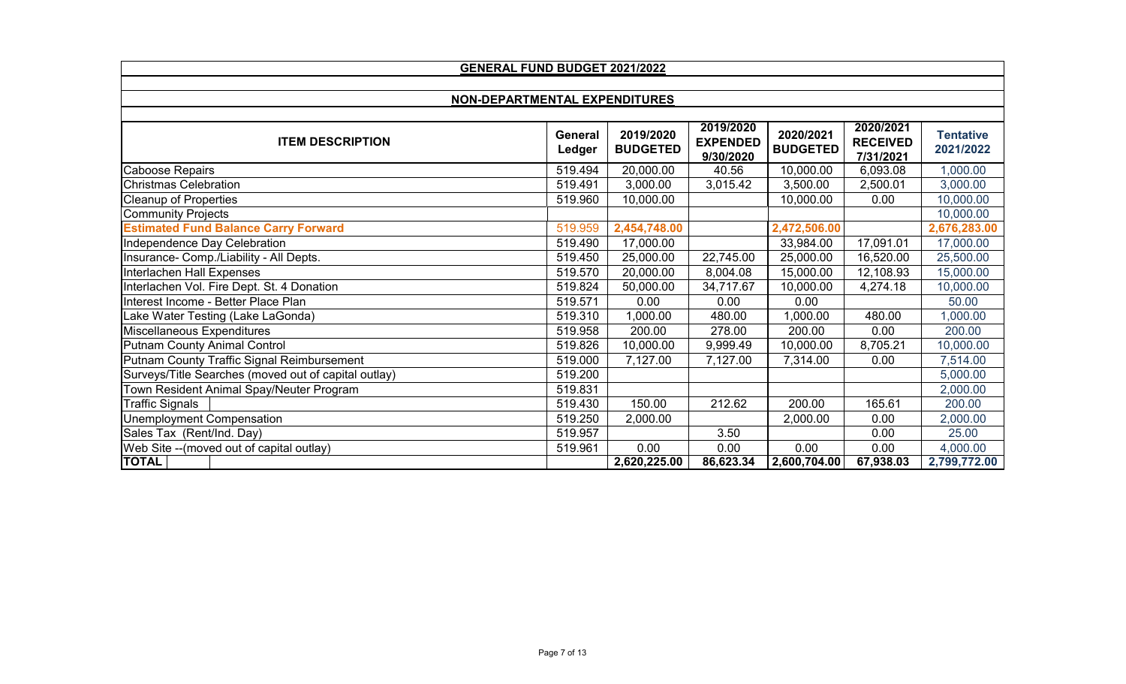| <b>GENERAL FUND BUDGET 2021/2022</b>                 |                   |                              |                                           |                              |                                           |                               |  |  |
|------------------------------------------------------|-------------------|------------------------------|-------------------------------------------|------------------------------|-------------------------------------------|-------------------------------|--|--|
|                                                      |                   |                              |                                           |                              |                                           |                               |  |  |
| NON-DEPARTMENTAL EXPENDITURES                        |                   |                              |                                           |                              |                                           |                               |  |  |
|                                                      |                   |                              |                                           |                              |                                           |                               |  |  |
| <b>ITEM DESCRIPTION</b>                              | General<br>Ledger | 2019/2020<br><b>BUDGETED</b> | 2019/2020<br><b>EXPENDED</b><br>9/30/2020 | 2020/2021<br><b>BUDGETED</b> | 2020/2021<br><b>RECEIVED</b><br>7/31/2021 | <b>Tentative</b><br>2021/2022 |  |  |
| Caboose Repairs                                      | 519.494           | 20,000.00                    | 40.56                                     | 10,000.00                    | 6,093.08                                  | 1,000.00                      |  |  |
| <b>Christmas Celebration</b>                         | 519.491           | 3,000.00                     | 3,015.42                                  | 3,500.00                     | 2,500.01                                  | 3,000.00                      |  |  |
| <b>Cleanup of Properties</b>                         | 519.960           | 10,000.00                    |                                           | 10,000.00                    | 0.00                                      | 10,000.00                     |  |  |
| <b>Community Projects</b>                            |                   |                              |                                           |                              |                                           | 10,000.00                     |  |  |
| <b>Estimated Fund Balance Carry Forward</b>          | 519.959           | 2,454,748.00                 |                                           | 2,472,506.00                 |                                           | 2,676,283.00                  |  |  |
| Independence Day Celebration                         | 519.490           | 17,000.00                    |                                           | 33,984.00                    | 17,091.01                                 | 17,000.00                     |  |  |
| Insurance- Comp./Liability - All Depts.              | 519.450           | 25,000.00                    | 22,745.00                                 | 25,000.00                    | 16,520.00                                 | 25,500.00                     |  |  |
| Interlachen Hall Expenses                            | 519.570           | 20,000.00                    | 8,004.08                                  | 15,000.00                    | 12,108.93                                 | 15,000.00                     |  |  |
| Interlachen Vol. Fire Dept. St. 4 Donation           | 519.824           | 50,000.00                    | 34,717.67                                 | 10,000.00                    | 4,274.18                                  | 10,000.00                     |  |  |
| Interest Income - Better Place Plan                  | 519.571           | 0.00                         | 0.00                                      | 0.00                         |                                           | 50.00                         |  |  |
| Lake Water Testing (Lake LaGonda)                    | 519.310           | 1,000.00                     | 480.00                                    | 1,000.00                     | 480.00                                    | 1,000.00                      |  |  |
| Miscellaneous Expenditures                           | 519.958           | 200.00                       | 278.00                                    | 200.00                       | 0.00                                      | 200.00                        |  |  |
| <b>Putnam County Animal Control</b>                  | 519.826           | 10,000.00                    | 9,999.49                                  | 10,000.00                    | 8,705.21                                  | 10,000.00                     |  |  |
| Putnam County Traffic Signal Reimbursement           | 519.000           | 7,127.00                     | 7,127.00                                  | 7,314.00                     | 0.00                                      | 7,514.00                      |  |  |
| Surveys/Title Searches (moved out of capital outlay) | 519.200           |                              |                                           |                              |                                           | 5,000.00                      |  |  |
| Town Resident Animal Spay/Neuter Program             | 519.831           |                              |                                           |                              |                                           | 2,000.00                      |  |  |
| <b>Traffic Signals</b>                               | 519.430           | 150.00                       | 212.62                                    | 200.00                       | 165.61                                    | 200.00                        |  |  |
| <b>Unemployment Compensation</b>                     | 519.250           | 2,000.00                     |                                           | 2,000.00                     | 0.00                                      | 2,000.00                      |  |  |
| Sales Tax (Rent/Ind. Day)                            | 519.957           |                              | 3.50                                      |                              | 0.00                                      | 25.00                         |  |  |
| Web Site -- (moved out of capital outlay)            | 519.961           | 0.00                         | 0.00                                      | 0.00                         | 0.00                                      | 4,000.00                      |  |  |
| <b>TOTAL</b>                                         |                   | 2,620,225.00                 | 86,623.34                                 | 2,600,704.00                 | 67,938.03                                 | 2,799,772.00                  |  |  |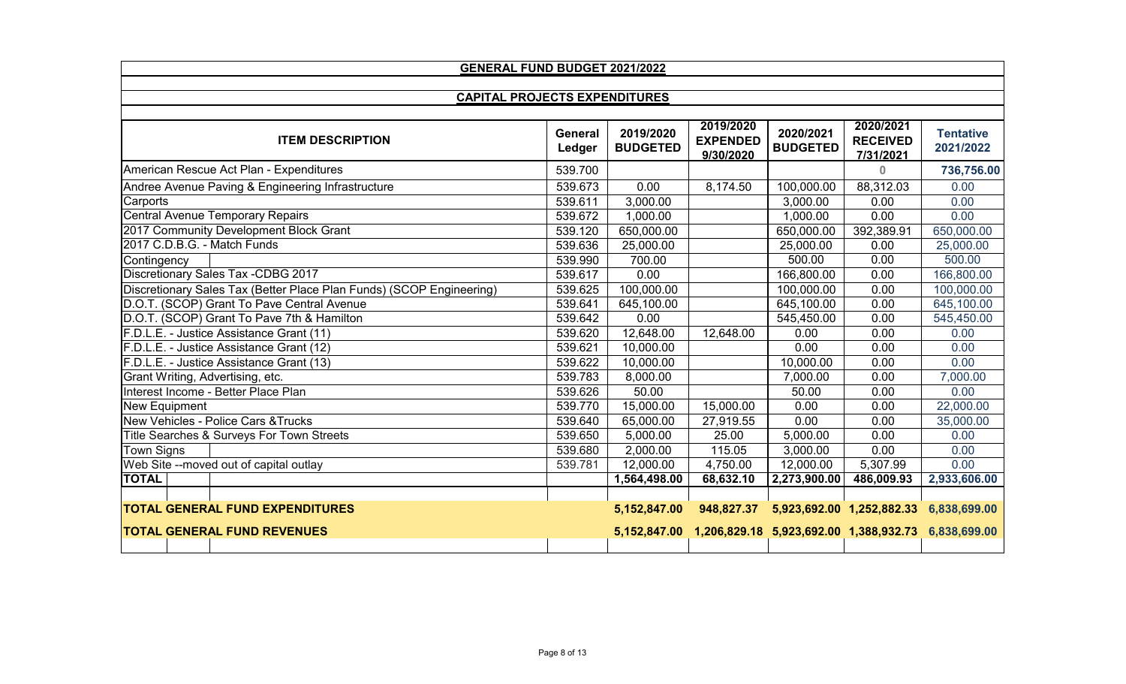| <b>GENERAL FUND BUDGET 2021/2022</b>                                 |                |                 |                              |                 |                                        |                  |  |  |
|----------------------------------------------------------------------|----------------|-----------------|------------------------------|-----------------|----------------------------------------|------------------|--|--|
|                                                                      |                |                 |                              |                 |                                        |                  |  |  |
| <b>CAPITAL PROJECTS EXPENDITURES</b>                                 |                |                 |                              |                 |                                        |                  |  |  |
|                                                                      | <b>General</b> | 2019/2020       | 2019/2020                    | 2020/2021       | 2020/2021                              | <b>Tentative</b> |  |  |
| <b>ITEM DESCRIPTION</b>                                              | Ledger         | <b>BUDGETED</b> | <b>EXPENDED</b><br>9/30/2020 | <b>BUDGETED</b> | <b>RECEIVED</b><br>7/31/2021           | 2021/2022        |  |  |
| American Rescue Act Plan - Expenditures                              | 539.700        |                 |                              |                 | $\mathbf{0}$                           | 736,756.00       |  |  |
| Andree Avenue Paving & Engineering Infrastructure                    | 539.673        | 0.00            | 8,174.50                     | 100,000.00      | 88,312.03                              | 0.00             |  |  |
| Carports                                                             | 539.611        | 3,000.00        |                              | 3,000.00        | 0.00                                   | 0.00             |  |  |
| <b>Central Avenue Temporary Repairs</b>                              | 539.672        | 1,000.00        |                              | 1,000.00        | 0.00                                   | 0.00             |  |  |
| 2017 Community Development Block Grant                               | 539.120        | 650,000.00      |                              | 650,000.00      | 392,389.91                             | 650,000.00       |  |  |
| 2017 C.D.B.G. - Match Funds                                          | 539.636        | 25,000.00       |                              | 25,000.00       | 0.00                                   | 25,000.00        |  |  |
| Contingency                                                          | 539.990        | 700.00          |                              | 500.00          | 0.00                                   | 500.00           |  |  |
| <b>Discretionary Sales Tax -CDBG 2017</b>                            | 539.617        | 0.00            |                              | 166,800.00      | 0.00                                   | 166,800.00       |  |  |
| Discretionary Sales Tax (Better Place Plan Funds) (SCOP Engineering) | 539.625        | 100,000.00      |                              | 100,000.00      | 0.00                                   | 100,000.00       |  |  |
| D.O.T. (SCOP) Grant To Pave Central Avenue                           | 539.641        | 645,100.00      |                              | 645,100.00      | 0.00                                   | 645,100.00       |  |  |
| D.O.T. (SCOP) Grant To Pave 7th & Hamilton                           | 539.642        | 0.00            |                              | 545,450.00      | 0.00                                   | 545,450.00       |  |  |
| F.D.L.E. - Justice Assistance Grant (11)                             | 539.620        | 12,648.00       | 12,648.00                    | 0.00            | 0.00                                   | 0.00             |  |  |
| F.D.L.E. - Justice Assistance Grant (12)                             | 539.621        | 10,000.00       |                              | 0.00            | 0.00                                   | 0.00             |  |  |
| F.D.L.E. - Justice Assistance Grant (13)                             | 539.622        | 10,000.00       |                              | 10,000.00       | 0.00                                   | 0.00             |  |  |
| Grant Writing, Advertising, etc.                                     | 539.783        | 8,000.00        |                              | 7,000.00        | 0.00                                   | 7,000.00         |  |  |
| Interest Income - Better Place Plan                                  | 539.626        | 50.00           |                              | 50.00           | 0.00                                   | 0.00             |  |  |
| New Equipment                                                        | 539.770        | 15,000.00       | 15,000.00                    | 0.00            | 0.00                                   | 22,000.00        |  |  |
| New Vehicles - Police Cars & Trucks                                  | 539.640        | 65,000.00       | 27,919.55                    | 0.00            | 0.00                                   | 35,000.00        |  |  |
| Title Searches & Surveys For Town Streets                            | 539.650        | 5,000.00        | 25.00                        | 5,000.00        | 0.00                                   | 0.00             |  |  |
| <b>Town Signs</b>                                                    | 539.680        | 2,000.00        | 115.05                       | 3,000.00        | 0.00                                   | 0.00             |  |  |
| Web Site --moved out of capital outlay                               | 539.781        | 12,000.00       | 4,750.00                     | 12,000.00       | 5,307.99                               | 0.00             |  |  |
| <b>TOTAL</b>                                                         |                | 1,564,498.00    | 68,632.10                    | 2,273,900.00    | 486,009.93                             | 2,933,606.00     |  |  |
|                                                                      |                |                 |                              |                 |                                        |                  |  |  |
| <b>TOTAL GENERAL FUND EXPENDITURES</b>                               |                | 5,152,847.00    | 948,827.37                   |                 | 5,923,692.00 1,252,882.33              | 6,838,699.00     |  |  |
| <b>TOTAL GENERAL FUND REVENUES</b>                                   |                | 5,152,847.00    |                              |                 | 1,206,829.18 5,923,692.00 1,388,932.73 | 6,838,699.00     |  |  |
|                                                                      |                |                 |                              |                 |                                        |                  |  |  |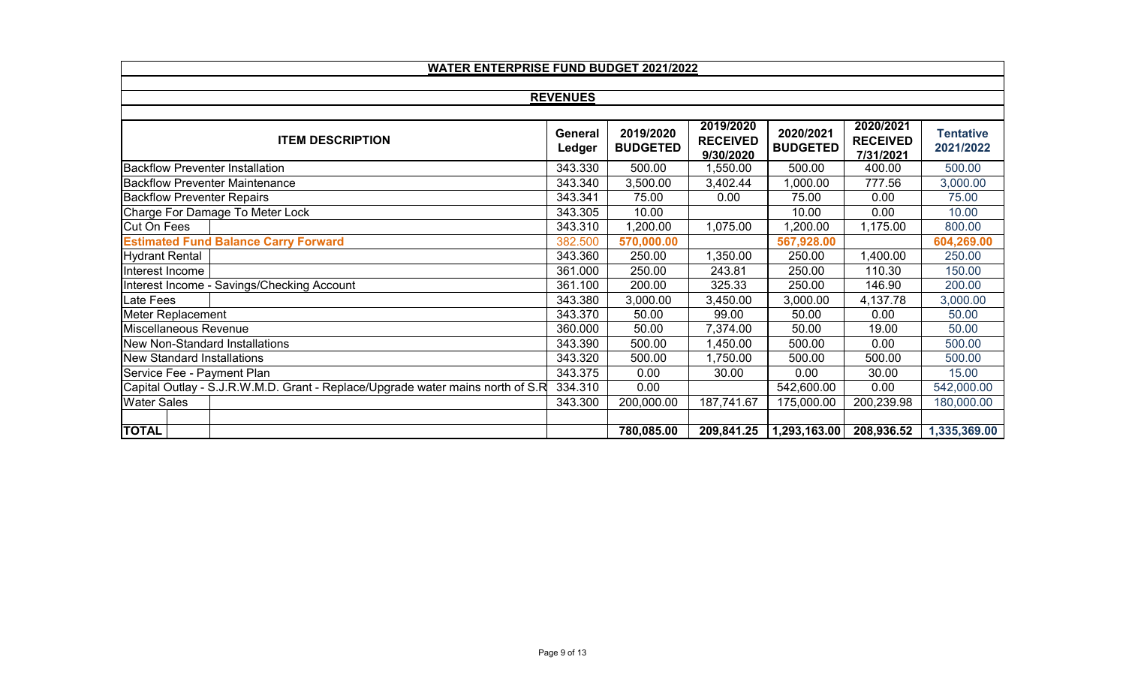| <b>WATER ENTERPRISE FUND BUDGET 2021/2022</b>                                  |                   |                              |                                           |                              |                                           |                               |  |  |
|--------------------------------------------------------------------------------|-------------------|------------------------------|-------------------------------------------|------------------------------|-------------------------------------------|-------------------------------|--|--|
|                                                                                |                   |                              |                                           |                              |                                           |                               |  |  |
|                                                                                | <b>REVENUES</b>   |                              |                                           |                              |                                           |                               |  |  |
|                                                                                |                   |                              |                                           |                              |                                           |                               |  |  |
| <b>ITEM DESCRIPTION</b>                                                        | General<br>Ledger | 2019/2020<br><b>BUDGETED</b> | 2019/2020<br><b>RECEIVED</b><br>9/30/2020 | 2020/2021<br><b>BUDGETED</b> | 2020/2021<br><b>RECEIVED</b><br>7/31/2021 | <b>Tentative</b><br>2021/2022 |  |  |
| <b>I</b> Backflow Preventer Installation                                       | 343.330           | 500.00                       | 1,550.00                                  | 500.00                       | 400.00                                    | 500.00                        |  |  |
| <b>Backflow Preventer Maintenance</b>                                          | 343.340           | 3,500.00                     | 3,402.44                                  | ,000.00                      | 777.56                                    | 3,000.00                      |  |  |
| <b>Backflow Preventer Repairs</b>                                              | 343.341           | 75.00                        | 0.00                                      | 75.00                        | 0.00                                      | 75.00                         |  |  |
| Charge For Damage To Meter Lock                                                | 343.305           | 10.00                        |                                           | 10.00                        | 0.00                                      | 10.00                         |  |  |
| Cut On Fees                                                                    | 343.310           | 1,200.00                     | 1,075.00                                  | ,200.00                      | 1,175.00                                  | 800.00                        |  |  |
| <b>Estimated Fund Balance Carry Forward</b>                                    | 382.500           | 570,000.00                   |                                           | 567,928.00                   |                                           | 604,269.00                    |  |  |
| <b>Hydrant Rental</b>                                                          | 343.360           | 250.00                       | 1,350.00                                  | 250.00                       | 1,400.00                                  | 250.00                        |  |  |
| Interest Income                                                                | 361.000           | 250.00                       | 243.81                                    | 250.00                       | 110.30                                    | 150.00                        |  |  |
| Interest Income - Savings/Checking Account                                     | 361.100           | 200.00                       | 325.33                                    | 250.00                       | 146.90                                    | 200.00                        |  |  |
| Late Fees                                                                      | 343.380           | 3,000.00                     | 3,450.00                                  | 3,000.00                     | 4,137.78                                  | 3,000.00                      |  |  |
| Meter Replacement                                                              | 343.370           | 50.00                        | 99.00                                     | 50.00                        | 0.00                                      | 50.00                         |  |  |
| Miscellaneous Revenue                                                          | 360.000           | 50.00                        | 7,374.00                                  | 50.00                        | 19.00                                     | 50.00                         |  |  |
| <b>New Non-Standard Installations</b>                                          | 343.390           | 500.00                       | 1,450.00                                  | 500.00                       | 0.00                                      | 500.00                        |  |  |
| New Standard Installations                                                     | 343.320           | 500.00                       | 1,750.00                                  | 500.00                       | 500.00                                    | 500.00                        |  |  |
| Service Fee - Payment Plan                                                     | 343.375           | 0.00                         | 30.00                                     | 0.00                         | 30.00                                     | 15.00                         |  |  |
| Capital Outlay - S.J.R.W.M.D. Grant - Replace/Upgrade water mains north of S.R | 334.310           | 0.00                         |                                           | 542,600.00                   | 0.00                                      | 542,000.00                    |  |  |
| <b>Water Sales</b>                                                             | 343.300           | 200,000.00                   | 187,741.67                                | 175,000.00                   | 200,239.98                                | 180,000.00                    |  |  |
|                                                                                |                   |                              |                                           |                              |                                           |                               |  |  |
| <b>TOTAL</b>                                                                   |                   | 780,085.00                   | 209,841.25                                | 1,293,163.00                 | 208,936.52                                | 1,335,369.00                  |  |  |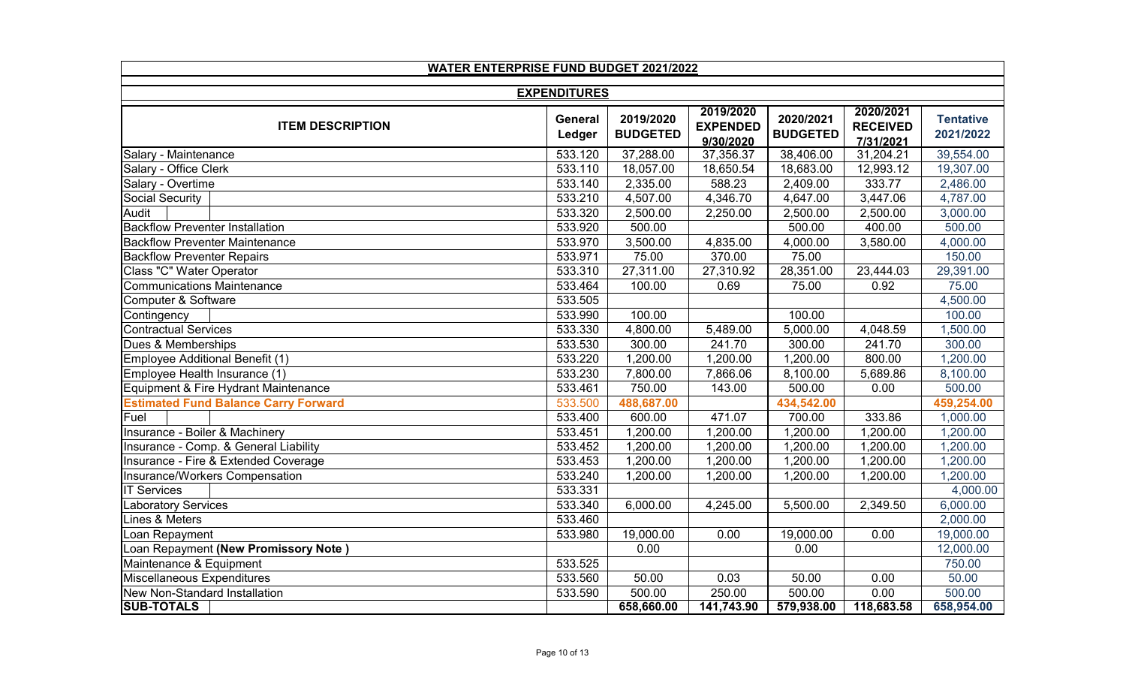| <b>WATER ENTERPRISE FUND BUDGET 2021/2022</b> |                     |                              |                                           |                              |                                           |                               |  |  |
|-----------------------------------------------|---------------------|------------------------------|-------------------------------------------|------------------------------|-------------------------------------------|-------------------------------|--|--|
|                                               | <b>EXPENDITURES</b> |                              |                                           |                              |                                           |                               |  |  |
| <b>ITEM DESCRIPTION</b>                       | General<br>Ledger   | 2019/2020<br><b>BUDGETED</b> | 2019/2020<br><b>EXPENDED</b><br>9/30/2020 | 2020/2021<br><b>BUDGETED</b> | 2020/2021<br><b>RECEIVED</b><br>7/31/2021 | <b>Tentative</b><br>2021/2022 |  |  |
| Salary - Maintenance                          | 533.120             | 37,288.00                    | 37,356.37                                 | 38,406.00                    | 31,204.21                                 | 39,554.00                     |  |  |
| Salary - Office Clerk                         | 533.110             | 18,057.00                    | 18,650.54                                 | 18,683.00                    | 12,993.12                                 | 19,307.00                     |  |  |
| Salary - Overtime                             | 533.140             | 2,335.00                     | 588.23                                    | 2,409.00                     | 333.77                                    | 2,486.00                      |  |  |
| Social Security                               | 533.210             | 4,507.00                     | 4,346.70                                  | 4,647.00                     | 3,447.06                                  | 4,787.00                      |  |  |
| Audit                                         | 533.320             | 2,500.00                     | 2,250.00                                  | 2,500.00                     | 2,500.00                                  | 3,000.00                      |  |  |
| <b>Backflow Preventer Installation</b>        | 533.920             | 500.00                       |                                           | 500.00                       | 400.00                                    | 500.00                        |  |  |
| <b>Backflow Preventer Maintenance</b>         | 533.970             | 3,500.00                     | 4,835.00                                  | 4,000.00                     | 3,580.00                                  | 4,000.00                      |  |  |
| <b>Backflow Preventer Repairs</b>             | 533.971             | 75.00                        | 370.00                                    | 75.00                        |                                           | 150.00                        |  |  |
| Class "C" Water Operator                      | 533.310             | 27,311.00                    | 27,310.92                                 | 28,351.00                    | 23,444.03                                 | 29,391.00                     |  |  |
| <b>Communications Maintenance</b>             | 533.464             | 100.00                       | 0.69                                      | 75.00                        | 0.92                                      | 75.00                         |  |  |
| Computer & Software                           | 533.505             |                              |                                           |                              |                                           | 4,500.00                      |  |  |
| Contingency                                   | 533.990             | 100.00                       |                                           | 100.00                       |                                           | 100.00                        |  |  |
| <b>Contractual Services</b>                   | 533.330             | 4,800.00                     | 5,489.00                                  | 5,000.00                     | 4,048.59                                  | 1,500.00                      |  |  |
| Dues & Memberships                            | 533.530             | 300.00                       | 241.70                                    | 300.00                       | 241.70                                    | 300.00                        |  |  |
| Employee Additional Benefit (1)               | 533.220             | 1,200.00                     | 1,200.00                                  | 1,200.00                     | 800.00                                    | 1,200.00                      |  |  |
| Employee Health Insurance (1)                 | 533.230             | 7,800.00                     | 7,866.06                                  | 8,100.00                     | 5,689.86                                  | 8,100.00                      |  |  |
| Equipment & Fire Hydrant Maintenance          | 533.461             | 750.00                       | 143.00                                    | 500.00                       | 0.00                                      | 500.00                        |  |  |
| <b>Estimated Fund Balance Carry Forward</b>   | 533.500             | 488,687.00                   |                                           | 434,542.00                   |                                           | 459,254.00                    |  |  |
| Fuel                                          | 533.400             | 600.00                       | 471.07                                    | 700.00                       | 333.86                                    | 1,000.00                      |  |  |
| Insurance - Boiler & Machinery                | 533.451             | 1,200.00                     | 1,200.00                                  | 1,200.00                     | 1,200.00                                  | 1,200.00                      |  |  |
| Insurance - Comp. & General Liability         | 533.452             | 1,200.00                     | 1,200.00                                  | 1,200.00                     | 1,200.00                                  | 1,200.00                      |  |  |
| Insurance - Fire & Extended Coverage          | 533.453             | 1,200.00                     | 1,200.00                                  | 1,200.00                     | 1,200.00                                  | 1,200.00                      |  |  |
| Insurance/Workers Compensation                | 533.240             | 1,200.00                     | 1,200.00                                  | 1,200.00                     | 1,200.00                                  | 1,200.00                      |  |  |
| <b>IT Services</b>                            | 533.331             |                              |                                           |                              |                                           | 4,000.00                      |  |  |
| <b>Laboratory Services</b>                    | 533.340             | 6,000.00                     | 4,245.00                                  | 5,500.00                     | 2,349.50                                  | 6,000.00                      |  |  |
| Lines & Meters                                | 533.460             |                              |                                           |                              |                                           | 2,000.00                      |  |  |
| Loan Repayment                                | 533.980             | 19,000.00                    | 0.00                                      | 19,000.00                    | 0.00                                      | 19,000.00                     |  |  |
| Loan Repayment (New Promissory Note)          |                     | 0.00                         |                                           | 0.00                         |                                           | 12,000.00                     |  |  |
| Maintenance & Equipment                       | 533.525             |                              |                                           |                              |                                           | 750.00                        |  |  |
| Miscellaneous Expenditures                    | 533.560             | 50.00                        | 0.03                                      | 50.00                        | 0.00                                      | 50.00                         |  |  |
| New Non-Standard Installation                 | 533.590             | 500.00                       | 250.00                                    | 500.00                       | 0.00                                      | 500.00                        |  |  |
| <b>SUB-TOTALS</b>                             |                     | 658,660.00                   | 141,743.90                                | 579,938.00                   | 118,683.58                                | 658,954.00                    |  |  |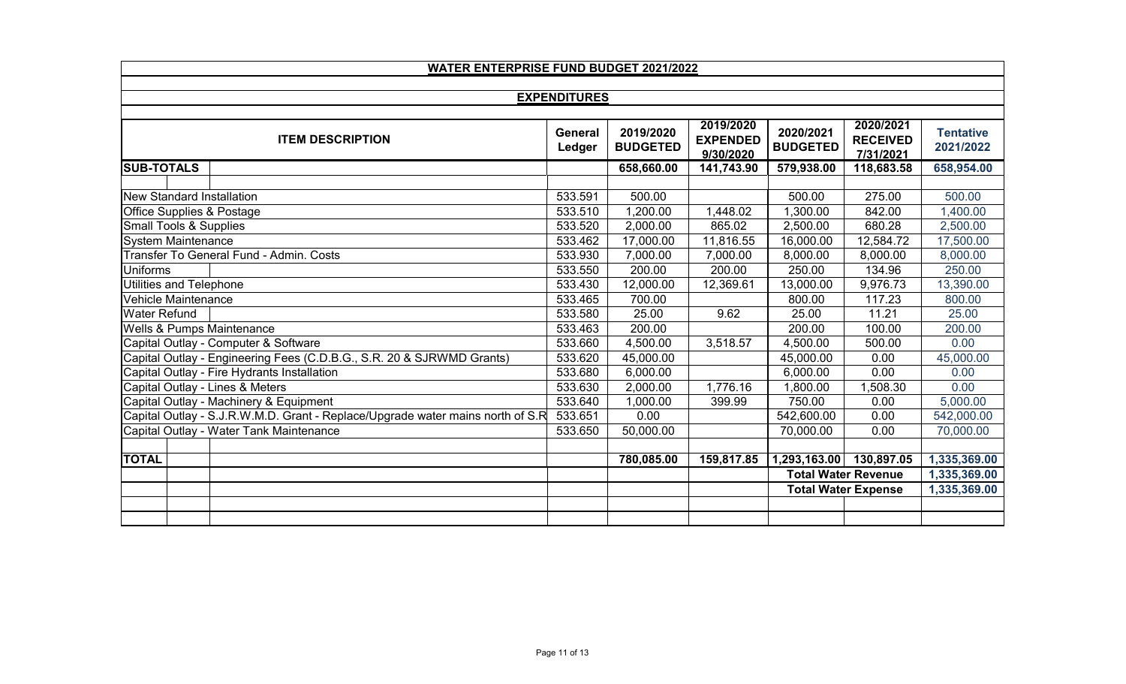| <b>WATER ENTERPRISE FUND BUDGET 2021/2022</b>                                  |                   |                              |                                           |                              |                                           |                               |  |  |
|--------------------------------------------------------------------------------|-------------------|------------------------------|-------------------------------------------|------------------------------|-------------------------------------------|-------------------------------|--|--|
|                                                                                |                   |                              |                                           |                              |                                           |                               |  |  |
| <b>EXPENDITURES</b>                                                            |                   |                              |                                           |                              |                                           |                               |  |  |
| <b>ITEM DESCRIPTION</b>                                                        | General<br>Ledger | 2019/2020<br><b>BUDGETED</b> | 2019/2020<br><b>EXPENDED</b><br>9/30/2020 | 2020/2021<br><b>BUDGETED</b> | 2020/2021<br><b>RECEIVED</b><br>7/31/2021 | <b>Tentative</b><br>2021/2022 |  |  |
| <b>SUB-TOTALS</b>                                                              |                   | 658,660.00                   | 141,743.90                                | 579,938.00                   | 118,683.58                                | 658,954.00                    |  |  |
|                                                                                |                   |                              |                                           |                              |                                           |                               |  |  |
| New Standard Installation                                                      | 533.591           | 500.00                       |                                           | 500.00                       | 275.00                                    | 500.00                        |  |  |
| Office Supplies & Postage                                                      | 533.510           | 1,200.00                     | 1,448.02                                  | 1,300.00                     | 842.00                                    | 1,400.00                      |  |  |
| <b>Small Tools &amp; Supplies</b>                                              | 533.520           | 2,000.00                     | 865.02                                    | 2,500.00                     | 680.28                                    | 2,500.00                      |  |  |
| <b>System Maintenance</b>                                                      | 533.462           | 17,000.00                    | 11,816.55                                 | 16,000.00                    | 12,584.72                                 | 17,500.00                     |  |  |
| Transfer To General Fund - Admin. Costs                                        | 533.930           | 7,000.00                     | 7,000.00                                  | 8,000.00                     | 8,000.00                                  | 8,000.00                      |  |  |
| <b>Uniforms</b>                                                                | 533.550           | 200.00                       | 200.00                                    | 250.00                       | 134.96                                    | 250.00                        |  |  |
| <b>Utilities and Telephone</b>                                                 | 533.430           | 12,000.00                    | 12,369.61                                 | 13,000.00                    | 9,976.73                                  | 13,390.00                     |  |  |
| Vehicle Maintenance                                                            | 533.465           | 700.00                       |                                           | 800.00                       | 117.23                                    | 800.00                        |  |  |
| <b>Water Refund</b>                                                            | 533.580           | 25.00                        | 9.62                                      | 25.00                        | 11.21                                     | 25.00                         |  |  |
| <b>Wells &amp; Pumps Maintenance</b>                                           | 533.463           | 200.00                       |                                           | 200.00                       | 100.00                                    | 200.00                        |  |  |
| Capital Outlay - Computer & Software                                           | 533.660           | 4,500.00                     | 3,518.57                                  | 4,500.00                     | 500.00                                    | 0.00                          |  |  |
| Capital Outlay - Engineering Fees (C.D.B.G., S.R. 20 & SJRWMD Grants)          | 533.620           | 45,000.00                    |                                           | 45,000.00                    | 0.00                                      | 45,000.00                     |  |  |
| Capital Outlay - Fire Hydrants Installation                                    | 533.680           | 6,000.00                     |                                           | 6,000.00                     | 0.00                                      | 0.00                          |  |  |
| Capital Outlay - Lines & Meters                                                | 533.630           | 2,000.00                     | 1,776.16                                  | 1,800.00                     | 1,508.30                                  | 0.00                          |  |  |
| Capital Outlay - Machinery & Equipment                                         | 533.640           | 1,000.00                     | 399.99                                    | 750.00                       | 0.00                                      | 5,000.00                      |  |  |
| Capital Outlay - S.J.R.W.M.D. Grant - Replace/Upgrade water mains north of S.R | 533.651           | 0.00                         |                                           | 542,600.00                   | 0.00                                      | 542,000.00                    |  |  |
| Capital Outlay - Water Tank Maintenance                                        | 533.650           | 50,000.00                    |                                           | 70,000.00                    | 0.00                                      | 70,000.00                     |  |  |
|                                                                                |                   |                              |                                           |                              |                                           |                               |  |  |
| <b>TOTAL</b>                                                                   |                   | 780,085.00                   | 159,817.85                                | 1,293,163.00                 | 130,897.05                                | 1,335,369.00                  |  |  |
|                                                                                |                   |                              |                                           |                              | <b>Total Water Revenue</b>                | 1,335,369.00                  |  |  |
|                                                                                |                   |                              |                                           |                              | <b>Total Water Expense</b>                | 1,335,369.00                  |  |  |
|                                                                                |                   |                              |                                           |                              |                                           |                               |  |  |
|                                                                                |                   |                              |                                           |                              |                                           |                               |  |  |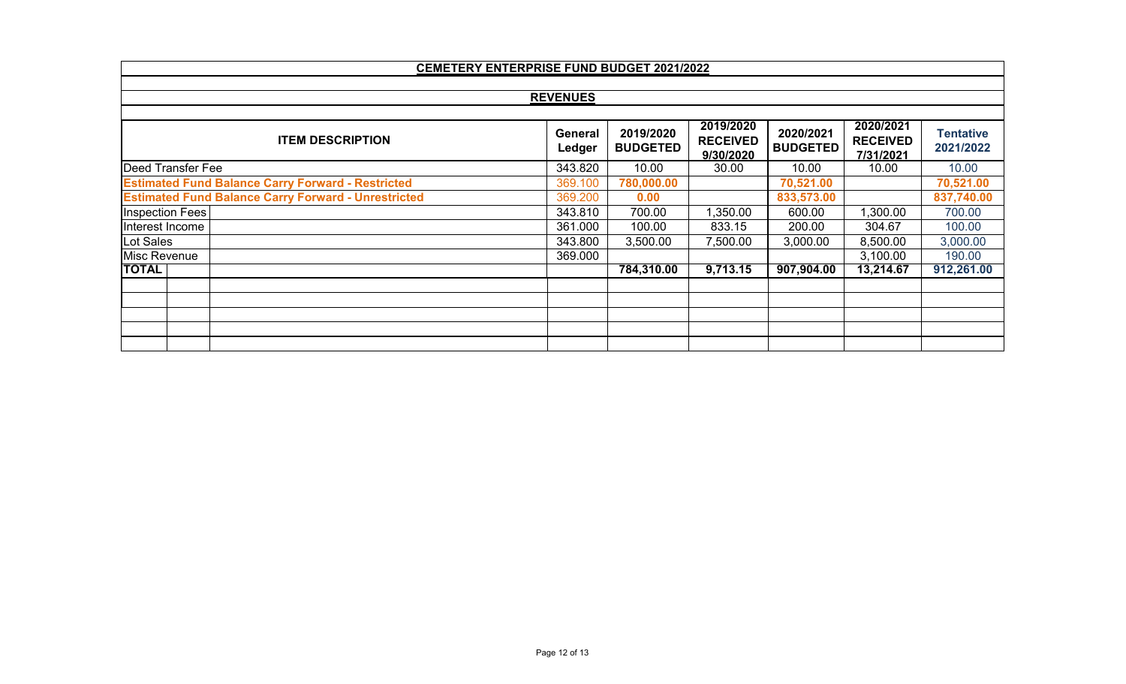|                                                            | <b>CEMETERY ENTERPRISE FUND BUDGET 2021/2022</b> |                              |                                           |                              |                                           |                               |  |  |  |
|------------------------------------------------------------|--------------------------------------------------|------------------------------|-------------------------------------------|------------------------------|-------------------------------------------|-------------------------------|--|--|--|
|                                                            |                                                  |                              |                                           |                              |                                           |                               |  |  |  |
|                                                            | <b>REVENUES</b>                                  |                              |                                           |                              |                                           |                               |  |  |  |
| <b>ITEM DESCRIPTION</b>                                    | General<br>Ledger                                | 2019/2020<br><b>BUDGETED</b> | 2019/2020<br><b>RECEIVED</b><br>9/30/2020 | 2020/2021<br><b>BUDGETED</b> | 2020/2021<br><b>RECEIVED</b><br>7/31/2021 | <b>Tentative</b><br>2021/2022 |  |  |  |
| <b>Deed Transfer Fee</b>                                   | 343.820                                          | 10.00                        | 30.00                                     | 10.00                        | 10.00                                     | 10.00                         |  |  |  |
| <b>Estimated Fund Balance Carry Forward - Restricted</b>   | 369.100                                          | 780,000.00                   |                                           | 70,521.00                    |                                           | 70,521.00                     |  |  |  |
| <b>Estimated Fund Balance Carry Forward - Unrestricted</b> | 369.200                                          | 0.00                         |                                           | 833,573.00                   |                                           | 837,740.00                    |  |  |  |
| Inspection Fees                                            | 343.810                                          | 700.00                       | 1,350.00                                  | 600.00                       | 1,300.00                                  | 700.00                        |  |  |  |
| Interest Income                                            | 361.000                                          | 100.00                       | 833.15                                    | 200.00                       | 304.67                                    | 100.00                        |  |  |  |
| Lot Sales                                                  | 343.800                                          | 3,500.00                     | 7,500.00                                  | 3,000.00                     | 8,500.00                                  | 3,000.00                      |  |  |  |
| Misc Revenue                                               | 369.000                                          |                              |                                           |                              | 3,100.00                                  | 190.00                        |  |  |  |
| <b>TOTAL</b>                                               |                                                  | 784,310.00                   | 9,713.15                                  | 907,904.00                   | 13,214.67                                 | 912,261.00                    |  |  |  |
|                                                            |                                                  |                              |                                           |                              |                                           |                               |  |  |  |
|                                                            |                                                  |                              |                                           |                              |                                           |                               |  |  |  |
|                                                            |                                                  |                              |                                           |                              |                                           |                               |  |  |  |
|                                                            |                                                  |                              |                                           |                              |                                           |                               |  |  |  |
|                                                            |                                                  |                              |                                           |                              |                                           |                               |  |  |  |